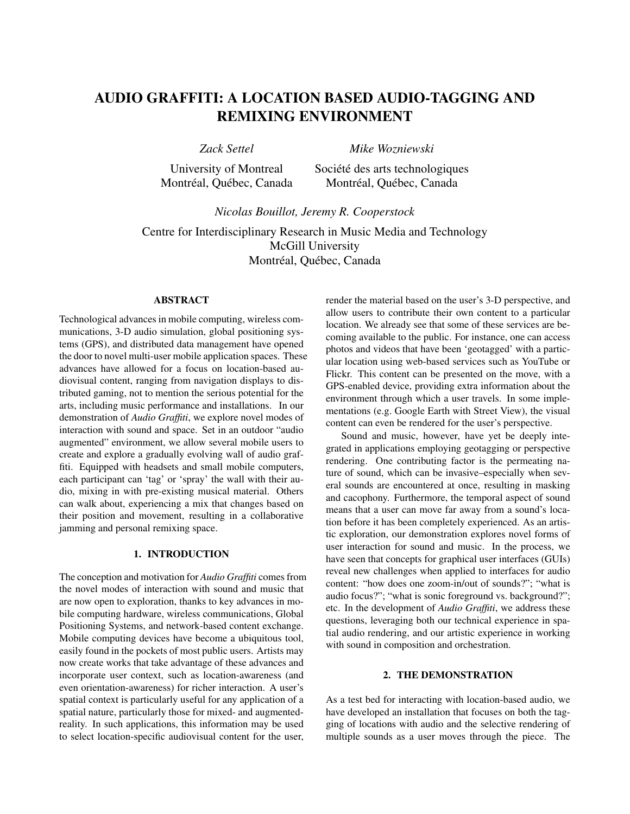# AUDIO GRAFFITI: A LOCATION BASED AUDIO-TAGGING AND REMIXING ENVIRONMENT

*Zack Settel*

*Mike Wozniewski*

University of Montreal Montréal, Québec, Canada Société des arts technologiques Montréal, Québec, Canada

*Nicolas Bouillot, Jeremy R. Cooperstock*

Centre for Interdisciplinary Research in Music Media and Technology McGill University Montréal, Québec, Canada

## ABSTRACT

Technological advances in mobile computing, wireless communications, 3-D audio simulation, global positioning systems (GPS), and distributed data management have opened the door to novel multi-user mobile application spaces. These advances have allowed for a focus on location-based audiovisual content, ranging from navigation displays to distributed gaming, not to mention the serious potential for the arts, including music performance and installations. In our demonstration of *Audio Graffiti*, we explore novel modes of interaction with sound and space. Set in an outdoor "audio augmented" environment, we allow several mobile users to create and explore a gradually evolving wall of audio graffiti. Equipped with headsets and small mobile computers, each participant can 'tag' or 'spray' the wall with their audio, mixing in with pre-existing musical material. Others can walk about, experiencing a mix that changes based on their position and movement, resulting in a collaborative jamming and personal remixing space.

## 1. INTRODUCTION

The conception and motivation for *Audio Graffiti* comes from the novel modes of interaction with sound and music that are now open to exploration, thanks to key advances in mobile computing hardware, wireless communications, Global Positioning Systems, and network-based content exchange. Mobile computing devices have become a ubiquitous tool, easily found in the pockets of most public users. Artists may now create works that take advantage of these advances and incorporate user context, such as location-awareness (and even orientation-awareness) for richer interaction. A user's spatial context is particularly useful for any application of a spatial nature, particularly those for mixed- and augmentedreality. In such applications, this information may be used to select location-specific audiovisual content for the user,

render the material based on the user's 3-D perspective, and allow users to contribute their own content to a particular location. We already see that some of these services are becoming available to the public. For instance, one can access photos and videos that have been 'geotagged' with a particular location using web-based services such as YouTube or Flickr. This content can be presented on the move, with a GPS-enabled device, providing extra information about the environment through which a user travels. In some implementations (e.g. Google Earth with Street View), the visual content can even be rendered for the user's perspective.

Sound and music, however, have yet be deeply integrated in applications employing geotagging or perspective rendering. One contributing factor is the permeating nature of sound, which can be invasive–especially when several sounds are encountered at once, resulting in masking and cacophony. Furthermore, the temporal aspect of sound means that a user can move far away from a sound's location before it has been completely experienced. As an artistic exploration, our demonstration explores novel forms of user interaction for sound and music. In the process, we have seen that concepts for graphical user interfaces (GUIs) reveal new challenges when applied to interfaces for audio content: "how does one zoom-in/out of sounds?"; "what is audio focus?"; "what is sonic foreground vs. background?"; etc. In the development of *Audio Graffiti*, we address these questions, leveraging both our technical experience in spatial audio rendering, and our artistic experience in working with sound in composition and orchestration.

#### 2. THE DEMONSTRATION

As a test bed for interacting with location-based audio, we have developed an installation that focuses on both the tagging of locations with audio and the selective rendering of multiple sounds as a user moves through the piece. The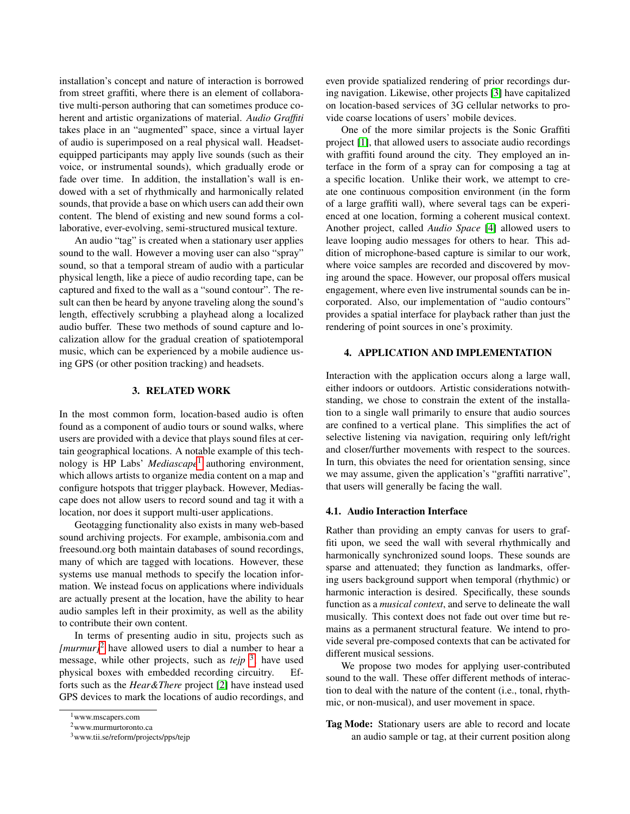installation's concept and nature of interaction is borrowed from street graffiti, where there is an element of collaborative multi-person authoring that can sometimes produce coherent and artistic organizations of material. *Audio Graffiti* takes place in an "augmented" space, since a virtual layer of audio is superimposed on a real physical wall. Headsetequipped participants may apply live sounds (such as their voice, or instrumental sounds), which gradually erode or fade over time. In addition, the installation's wall is endowed with a set of rhythmically and harmonically related sounds, that provide a base on which users can add their own content. The blend of existing and new sound forms a collaborative, ever-evolving, semi-structured musical texture.

An audio "tag" is created when a stationary user applies sound to the wall. However a moving user can also "spray" sound, so that a temporal stream of audio with a particular physical length, like a piece of audio recording tape, can be captured and fixed to the wall as a "sound contour". The result can then be heard by anyone traveling along the sound's length, effectively scrubbing a playhead along a localized audio buffer. These two methods of sound capture and localization allow for the gradual creation of spatiotemporal music, which can be experienced by a mobile audience using GPS (or other position tracking) and headsets.

### 3. RELATED WORK

In the most common form, location-based audio is often found as a component of audio tours or sound walks, where users are provided with a device that plays sound files at certain geographical locations. A notable example of this technology is HP Labs' *Mediascape*[1](#page-1-0) authoring environment, which allows artists to organize media content on a map and configure hotspots that trigger playback. However, Mediascape does not allow users to record sound and tag it with a location, nor does it support multi-user applications.

Geotagging functionality also exists in many web-based sound archiving projects. For example, ambisonia.com and freesound.org both maintain databases of sound recordings, many of which are tagged with locations. However, these systems use manual methods to specify the location information. We instead focus on applications where individuals are actually present at the location, have the ability to hear audio samples left in their proximity, as well as the ability to contribute their own content.

In terms of presenting audio in situ, projects such as *[murmur]*<sup>[2](#page-1-1)</sup> have allowed users to dial a number to hear a message, while other projects, such as *tejp* [3](#page-1-2) , have used physical boxes with embedded recording circuitry. Efforts such as the *Hear&There* project [\[2\]](#page-3-0) have instead used GPS devices to mark the locations of audio recordings, and even provide spatialized rendering of prior recordings during navigation. Likewise, other projects [\[3\]](#page-3-1) have capitalized on location-based services of 3G cellular networks to provide coarse locations of users' mobile devices.

One of the more similar projects is the Sonic Graffiti project [\[1\]](#page-3-2), that allowed users to associate audio recordings with graffiti found around the city. They employed an interface in the form of a spray can for composing a tag at a specific location. Unlike their work, we attempt to create one continuous composition environment (in the form of a large graffiti wall), where several tags can be experienced at one location, forming a coherent musical context. Another project, called *Audio Space* [\[4\]](#page-3-3) allowed users to leave looping audio messages for others to hear. This addition of microphone-based capture is similar to our work, where voice samples are recorded and discovered by moving around the space. However, our proposal offers musical engagement, where even live instrumental sounds can be incorporated. Also, our implementation of "audio contours" provides a spatial interface for playback rather than just the rendering of point sources in one's proximity.

## 4. APPLICATION AND IMPLEMENTATION

Interaction with the application occurs along a large wall, either indoors or outdoors. Artistic considerations notwithstanding, we chose to constrain the extent of the installation to a single wall primarily to ensure that audio sources are confined to a vertical plane. This simplifies the act of selective listening via navigation, requiring only left/right and closer/further movements with respect to the sources. In turn, this obviates the need for orientation sensing, since we may assume, given the application's "graffiti narrative", that users will generally be facing the wall.

## <span id="page-1-3"></span>4.1. Audio Interaction Interface

Rather than providing an empty canvas for users to graffiti upon, we seed the wall with several rhythmically and harmonically synchronized sound loops. These sounds are sparse and attenuated; they function as landmarks, offering users background support when temporal (rhythmic) or harmonic interaction is desired. Specifically, these sounds function as a *musical context*, and serve to delineate the wall musically. This context does not fade out over time but remains as a permanent structural feature. We intend to provide several pre-composed contexts that can be activated for different musical sessions.

We propose two modes for applying user-contributed sound to the wall. These offer different methods of interaction to deal with the nature of the content (i.e., tonal, rhythmic, or non-musical), and user movement in space.

Tag Mode: Stationary users are able to record and locate an audio sample or tag, at their current position along

<span id="page-1-0"></span><sup>1</sup>www.mscapers.com

<span id="page-1-1"></span><sup>2</sup>www.murmurtoronto.ca

<span id="page-1-2"></span><sup>3</sup>www.tii.se/reform/projects/pps/tejp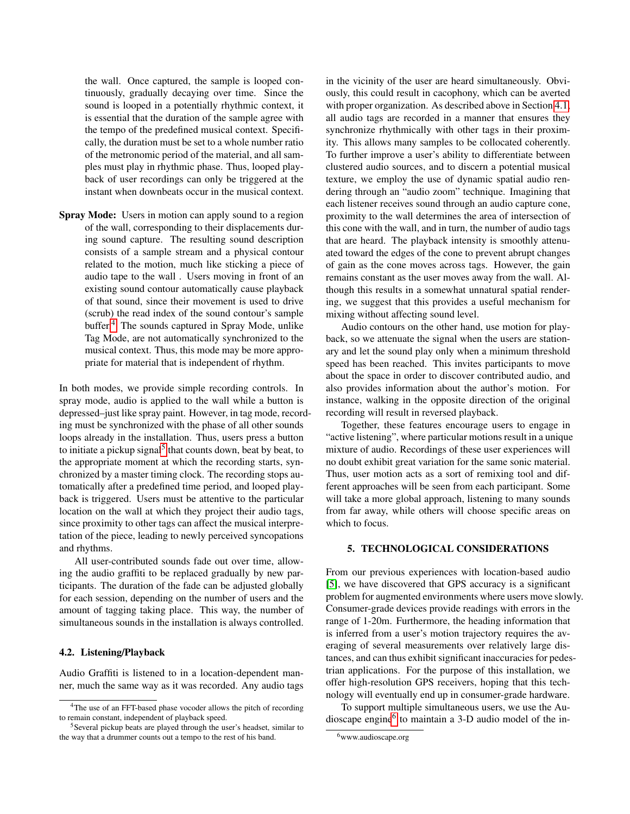the wall. Once captured, the sample is looped continuously, gradually decaying over time. Since the sound is looped in a potentially rhythmic context, it is essential that the duration of the sample agree with the tempo of the predefined musical context. Specifically, the duration must be set to a whole number ratio of the metronomic period of the material, and all samples must play in rhythmic phase. Thus, looped playback of user recordings can only be triggered at the instant when downbeats occur in the musical context.

Spray Mode: Users in motion can apply sound to a region of the wall, corresponding to their displacements during sound capture. The resulting sound description consists of a sample stream and a physical contour related to the motion, much like sticking a piece of audio tape to the wall . Users moving in front of an existing sound contour automatically cause playback of that sound, since their movement is used to drive (scrub) the read index of the sound contour's sample buffer.[4](#page-2-0) The sounds captured in Spray Mode, unlike Tag Mode, are not automatically synchronized to the musical context. Thus, this mode may be more appropriate for material that is independent of rhythm.

In both modes, we provide simple recording controls. In spray mode, audio is applied to the wall while a button is depressed–just like spray paint. However, in tag mode, recording must be synchronized with the phase of all other sounds loops already in the installation. Thus, users press a button to initiate a pickup signal<sup>[5](#page-2-1)</sup> that counts down, beat by beat, to the appropriate moment at which the recording starts, synchronized by a master timing clock. The recording stops automatically after a predefined time period, and looped playback is triggered. Users must be attentive to the particular location on the wall at which they project their audio tags, since proximity to other tags can affect the musical interpretation of the piece, leading to newly perceived syncopations and rhythms.

All user-contributed sounds fade out over time, allowing the audio graffiti to be replaced gradually by new participants. The duration of the fade can be adjusted globally for each session, depending on the number of users and the amount of tagging taking place. This way, the number of simultaneous sounds in the installation is always controlled.

#### 4.2. Listening/Playback

Audio Graffiti is listened to in a location-dependent manner, much the same way as it was recorded. Any audio tags in the vicinity of the user are heard simultaneously. Obviously, this could result in cacophony, which can be averted with proper organization. As described above in Section [4.1,](#page-1-3) all audio tags are recorded in a manner that ensures they synchronize rhythmically with other tags in their proximity. This allows many samples to be collocated coherently. To further improve a user's ability to differentiate between clustered audio sources, and to discern a potential musical texture, we employ the use of dynamic spatial audio rendering through an "audio zoom" technique. Imagining that each listener receives sound through an audio capture cone, proximity to the wall determines the area of intersection of this cone with the wall, and in turn, the number of audio tags that are heard. The playback intensity is smoothly attenuated toward the edges of the cone to prevent abrupt changes of gain as the cone moves across tags. However, the gain remains constant as the user moves away from the wall. Although this results in a somewhat unnatural spatial rendering, we suggest that this provides a useful mechanism for mixing without affecting sound level.

Audio contours on the other hand, use motion for playback, so we attenuate the signal when the users are stationary and let the sound play only when a minimum threshold speed has been reached. This invites participants to move about the space in order to discover contributed audio, and also provides information about the author's motion. For instance, walking in the opposite direction of the original recording will result in reversed playback.

Together, these features encourage users to engage in "active listening", where particular motions result in a unique mixture of audio. Recordings of these user experiences will no doubt exhibit great variation for the same sonic material. Thus, user motion acts as a sort of remixing tool and different approaches will be seen from each participant. Some will take a more global approach, listening to many sounds from far away, while others will choose specific areas on which to focus.

#### 5. TECHNOLOGICAL CONSIDERATIONS

From our previous experiences with location-based audio [\[5\]](#page-3-4), we have discovered that GPS accuracy is a significant problem for augmented environments where users move slowly. Consumer-grade devices provide readings with errors in the range of 1-20m. Furthermore, the heading information that is inferred from a user's motion trajectory requires the averaging of several measurements over relatively large distances, and can thus exhibit significant inaccuracies for pedestrian applications. For the purpose of this installation, we offer high-resolution GPS receivers, hoping that this technology will eventually end up in consumer-grade hardware.

To support multiple simultaneous users, we use the Au-dioscape engine<sup>[6](#page-2-2)</sup> to maintain a 3-D audio model of the in-

<span id="page-2-0"></span><sup>4</sup>The use of an FFT-based phase vocoder allows the pitch of recording to remain constant, independent of playback speed.

<span id="page-2-1"></span><sup>5</sup>Several pickup beats are played through the user's headset, similar to the way that a drummer counts out a tempo to the rest of his band.

<span id="page-2-2"></span><sup>6</sup>www.audioscape.org